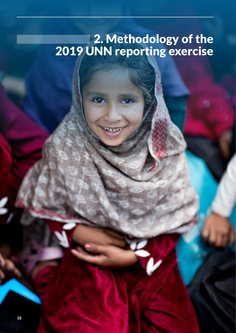# 2. Methodology of the 2019 UNN reporting exercise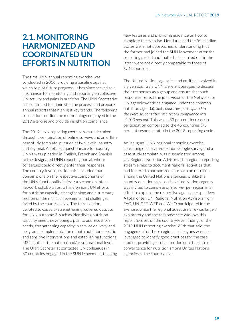### **2.1. MONITORING HARMONIZED AND COORDINATED UN EFFORTS IN NUTRITION**

The first UNN annual reporting exercise was conducted in 2016, providing a baseline against which to plot future progress. It has since served as a mechanism for monitoring and reporting on collective UN activity and gains in nutrition. The UNN Secretariat has continued to administer the process and prepare annual reports that highlight key trends. The following subsections outline the methodology employed in the 2019 exercise and provide insight on compliance.

The 2019 UNN reporting exercise was undertaken through a combination of online surveys and an offline case study template, pursued at two levels: country and regional. A detailed questionnaire for country UNNs was uploaded in English, French and Spanish to the designated UNN reporting portal, where colleagues could directly enter their responses. The country-level questionnaire included four domains: one on the respective components of the UNN functionality index+; a second on internetwork collaboration; a third on joint UN efforts for nutrition capacity strengthening; and a summary section on the main achievements and challenges faced by the country UNN. The third section, devoted to capacity strengthening, covered outputs for UNN outcome 3, such as identifying nutrition capacity needs, developing a plan to address those needs, strengthening capacity in service delivery and programme implementation of both nutrition-specific and sensitive interventions and establishing functional MSPs both at the national and/or sub-national level. The UNN Secretariat contacted UN colleagues in 60 countries engaged in the SUN Movement, flagging

new features and providing guidance on how to complete the exercise. Honduras and the four Indian States were not approached, understanding that the former had joined the SUN Movement after the reporting period and that efforts carried out in the latter were not directly comparable to those of SUN countries.

The United Nations agencies and entities involved in a given country's UNN were encouraged to discuss their responses as a group and ensure that such responses reflect the joint vision of the Network (or UN agencies/entities engaged under the common nutrition agenda). *Sixty countries participated in the exercise, constituting a record compliance rate of 100 percent.* This was a 33 percent increase in participation compared to the 45 countries (75 percent response rate) in the 2018 reporting cycle.

An inaugural UNN regional reporting exercise, consisting of a seven-question Google survey and a case study template, was disseminated among UN Regional Nutrition Advisors. The regional reporting stream aimed to document regional activities that had fostered a harmonized approach on nutrition among the United Nations agencies. Unlike the country questionnaire, each United Nations agency was invited to complete one survey per region in an effort to explore the respective agency perspectives. A total of ten UN Regional Nutrition Advisors from FAO, UNICEF, WFP and WHO participated in the exercise. Since the regional questionnaire was largely exploratory and the response rate was low, this report focuses on the country-level findings of the 2019 UNN reporting exercise. With that said, the engagement of these regional colleagues was also leveraged to identify good practices for the case studies, providing a robust outlook on the state of convergence for nutrition among United Nations agencies at the country level.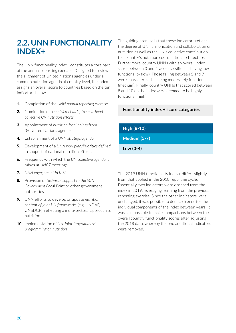## **2.2. UNN FUNCTIONALITY INDEX+**

The UNN functionality index+ constitutes a core part of the annual reporting exercise. Designed to review the alignment of United Nations agencies under a common nutrition agenda at country level, the index assigns an overall score to countries based on the ten indicators below.

- **1.** Completion of the *UNN annual reporting exercise*
- **2.** Nomination of a *chair/co-chair(s) to spearhead collective UN nutrition efforts*
- **3.** Appointment of *nutrition focal points* from 3+ United Nations agencies
- **4.** Establishment of a *UNN strategy/agenda*
- **5.** Development of a *UNN workplan/Priorities defined*  in support of national nutrition efforts
- **6.** Frequency with which the *UN collective agenda is tabled at UNCT* meetings
- **7.** *UNN engagement in MSPs*
- **8.** Provision of *technical support to the SUN Government Focal Point* or other government authorities
- **9.** UNN efforts to develop or update *nutrition content of joint UN frameworks* (e.g. UNDAF, UNSDCF), reflecting a multi-sectoral approach to nutrition
- **10.** Implementation of *UN Joint Programmes/ programming on nutrition*

The guiding premise is that these indicators reflect the degree of UN harmonization and collaboration on nutrition as well as the UN's collective contribution to a country's nutrition coordination architecture. Furthermore, country UNNs with an overall index score between 0 and 4 were classified as having low functionality (low). Those falling between 5 and 7 were characterized as being moderately functional (medium). Finally, country UNNs that scored between 8 and 10 on the index were deemed to be highly functional (high).

#### **Functionality index + score categories**

**High (8-10)**

**Medium (5-7)** 

**Low (0-4)**

The 2019 UNN functionality index+ differs slightly from that applied in the 2018 reporting cycle. Essentially, two indicators were dropped from the index in 2019, leveraging learning from the previous reporting exercise. Since the other indicators were unchanged, it was possible to deduce trends for the individual components of the index between years. It was also possible to make comparisons between the overall country functionality scores after adjusting the 2018 data, whereby the two additional indicators were removed.